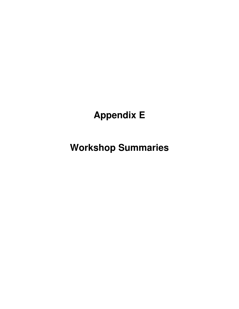# **Appendix E**

**Workshop Summaries**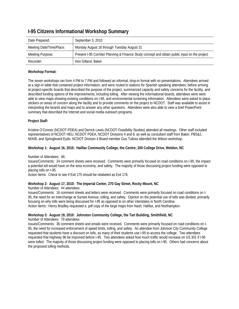| Date Prepared:           | September 3, 2010                                                                             |
|--------------------------|-----------------------------------------------------------------------------------------------|
| Meeting Date/Time/Place: | Monday August 16 through Tuesday August 31                                                    |
| Meeting Purpose:         | Present I-95 Corridor Planning & Finance Study concept and obtain public input on the project |
| Recorder:                | Ken Gilland, Baker                                                                            |

# **I-95 Citizens Informational Workshop Summary**

# **Workshop Format:**

The seven workshops ran from 4 PM to 7 PM and followed an informal, drop-in format with no presentations. Attendees arrived at a sign-in table that contained project information, and were routed to stations for Spanish speaking attendees, before arriving at project-specific boards that described the purpose of the project, summarized capacity and safety concerns for the facility, and described funding options of the improvements, including tolling. After viewing the informational boards, attendees were were able to view maps showing existing conditions on I-95, and environmental screening information. Attendees were asked to place stickers on areas of concern along the facility and to provide comments on the project to NCDOT. Staff was available to assist in interpreting the boards and maps and to answer any other questions. Attendees were also able to view a brief PowerPoint summary that described the Internet and social media outreach programs.

# **Project Staff:**

Kristine O'Connor (NCDOT-PDEA) and Derrick Lewis (NCDOT-Feasibility Studies) attended all meetings. Other staff included representatives of NCDOT HEU, NCDOT PDEA, NCDOT Divisions 4 and 6; as well as consultant staff from Baker, PBS&J, M/A/B, and Springboard Eydo. NCDOT Division 4 Board member Gus Tulloss attended the Wilson workshop.

# **Workshop 1: August 16, 2010: Halifax Community College, the Centre; 200 College Drive, Weldon, NC**

Number of Attendees: 46;

Issues/Comments: 24 comment sheets were received. Comments were primarily focused on road conditions on I-95, the impact a potential toll would have on the area economy, and safety. The majority of those discussing project funding were opposed to placing tolls on I-95.

Action Items: Check to see if Exit 175 should be relabeled as Exit 176.

#### **Workshop 2: August 17, 2010: The Imperial Center, 270 Gay Street, Rocky Mount, NC**

Number of Attendees: 44 attendees

Issues/Comments: 16 comment sheets and letters were received. Comments were primarily focused on road conditions on I-95, the need for an interchange at Sunset Avenue, tolling, and safety. Opinion on the potential use of tolls was divided, primarily focusing on why tolls were being discussed for I-95 as opposed to on other interstates in North Carolina. Action Items: Henry Bradley requested a .pdf copy of the large maps from Nash, Halifax, and Northampton.

#### **Workshop 3: August 19, 2010: Johnston Community College, the Tart Building, Smithfield, NC**

Number of Attendees: 79 attendees

Issues/Comments: 36 comment sheets and emails were received. Comments were primarily focused on road conditions on I-95, the need for increased enforcement of speed limits, tolling, and safety. An attendee from Johnson City Community College requested that students have a discount on tolls, as many of their students use I-95 to access the college. Two attendees requested that Highway 96 be improved before I-95. Two attendees asked how much traffic would increase on US 301 if I-95 were tolled. The majority of those discussing project funding were opposed to placing tolls on I-95. Others had concerns about the proposed tolling methods.